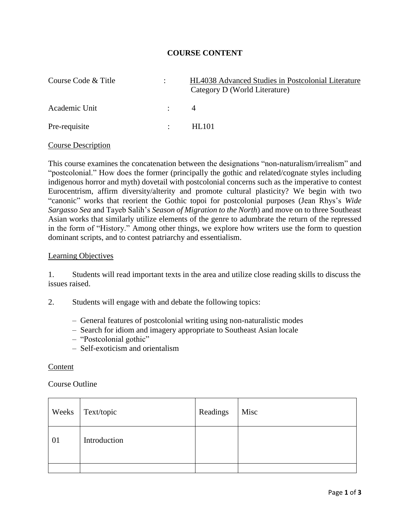## **COURSE CONTENT**

| Course Code & Title |                           | <b>HL4038</b> Advanced Studies in Postcolonial Literature<br>Category D (World Literature) |
|---------------------|---------------------------|--------------------------------------------------------------------------------------------|
| Academic Unit       | $\mathcal{L}$             |                                                                                            |
| Pre-requisite       | $\mathbb{R}^{\mathbb{Z}}$ | HL101                                                                                      |

#### Course Description

This course examines the concatenation between the designations "non-naturalism/irrealism" and "postcolonial." How does the former (principally the gothic and related/cognate styles including indigenous horror and myth) dovetail with postcolonial concerns such as the imperative to contest Eurocentrism, affirm diversity/alterity and promote cultural plasticity? We begin with two "canonic" works that reorient the Gothic topoi for postcolonial purposes (Jean Rhys's *Wide Sargasso Sea* and Tayeb Salih's *Season of Migration to the North*) and move on to three Southeast Asian works that similarly utilize elements of the genre to adumbrate the return of the repressed in the form of "History." Among other things, we explore how writers use the form to question dominant scripts, and to contest patriarchy and essentialism.

### Learning Objectives

1. Students will read important texts in the area and utilize close reading skills to discuss the issues raised.

2. Students will engage with and debate the following topics:

- General features of postcolonial writing using non-naturalistic modes
- Search for idiom and imagery appropriate to Southeast Asian locale
- "Postcolonial gothic"
- Self-exoticism and orientalism

#### Content

### Course Outline

| Weeks | Text/topic   | Readings | Misc |
|-------|--------------|----------|------|
| 01    | Introduction |          |      |
|       |              |          |      |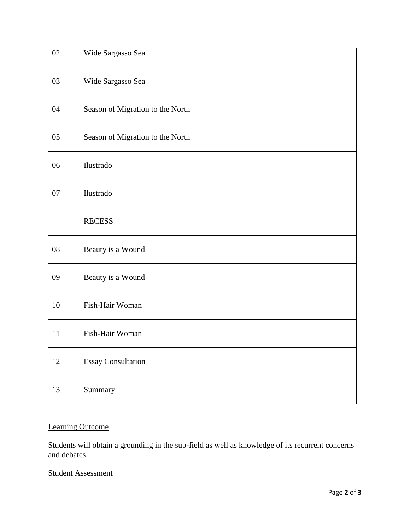| $02\,$ | Wide Sargasso Sea                |
|--------|----------------------------------|
| 03     | Wide Sargasso Sea                |
| 04     | Season of Migration to the North |
| 05     | Season of Migration to the North |
| 06     | Ilustrado                        |
| 07     | Ilustrado                        |
|        | <b>RECESS</b>                    |
| 08     | Beauty is a Wound                |
| 09     | Beauty is a Wound                |
| 10     | Fish-Hair Woman                  |
| 11     | Fish-Hair Woman                  |
| $12\,$ | <b>Essay Consultation</b>        |
| 13     | Summary                          |

# Learning Outcome

Students will obtain a grounding in the sub-field as well as knowledge of its recurrent concerns and debates.

# Student Assessment